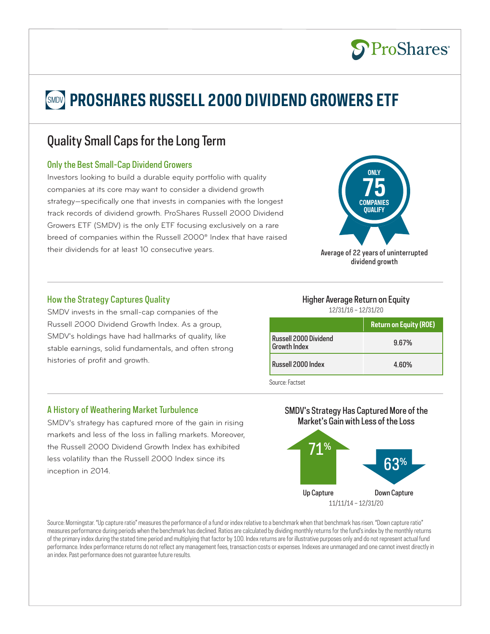# **SMDV PROSHARES RUSSELL 2000 DIVIDEND GROWERS ETF**

## Quality Small Caps for the Long Term

#### Only the Best Small-Cap Dividend Growers

Investors looking to build a durable equity portfolio with quality companies at its core may want to consider a dividend growth strategy—specifically one that invests in companies with the longest track records of dividend growth. ProShares Russell 2000 Dividend Growers ETF (SMDV) is the only ETF focusing exclusively on a rare breed of companies within the Russell 2000® Index that have raised their dividends for at least 10 consecutive years.



**S**ProShares®

Average of 22 years of uninterrupted dividend growth

#### How the Strategy Captures Quality

SMDV invests in the small-cap companies of the Russell 2000 Dividend Growth Index. As a group, SMDV's holdings have had hallmarks of quality, like stable earnings, solid fundamentals, and often strong histories of profit and growth.

## Higher Average Return on Equity

12/31/16 – 12/31/20

|                                              | <b>Return on Equity (ROE)</b> |
|----------------------------------------------|-------------------------------|
| Russell 2000 Dividend<br><b>Growth Index</b> | 9.67%                         |
| Russell 2000 Index                           | 4.60%                         |

Source: Factset

#### A History of Weathering Market Turbulence

SMDV's strategy has captured more of the gain in rising markets and less of the loss in falling markets. Moreover, the Russell 2000 Dividend Growth Index has exhibited less volatility than the Russell 2000 Index since its inception in 2014.

#### SMDV's Strategy Has Captured More of the Market's Gain with Less of the Loss



Source: Morningstar. "Up capture ratio" measures the performance of a fund or index relative to a benchmark when that benchmark has risen. "Down capture ratio" measures performance during periods when the benchmark has declined. Ratios are calculated by dividing monthly returns for the fund's index by the monthly returns of the primary index during the stated time period and multiplying that factor by 100. Index returns are for illustrative purposes only and do not represent actual fund performance. Index performance returns do not reflect any management fees, transaction costs or expenses. Indexes are unmanaged and one cannot invest directly in an index. Past performance does not guarantee future results.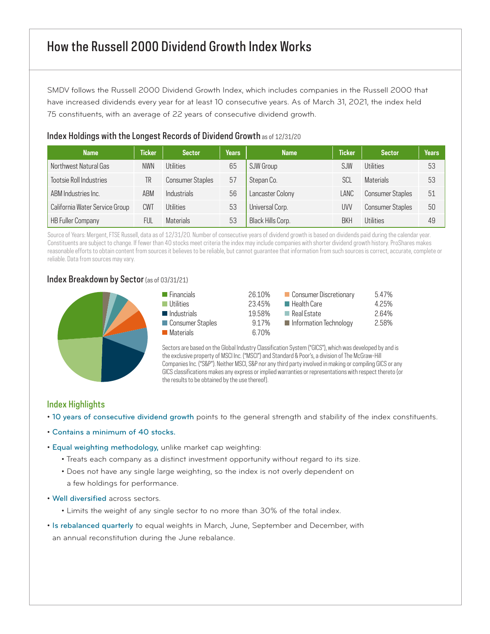SMDV follows the Russell 2000 Dividend Growth Index, which includes companies in the Russell 2000 that have increased dividends every year for at least 10 consecutive years. As of March 31, 2021, the index held 75 constituents, with an average of 22 years of consecutive dividend growth.

| <b>Name</b>                    | <b>Ticker</b> | <b>Sector</b>           | <b>Years</b> | <b>Name</b>       | <b>Ticker</b> | <b>Sector</b>           | <b>Years</b> |
|--------------------------------|---------------|-------------------------|--------------|-------------------|---------------|-------------------------|--------------|
| Northwest Natural Gas          | <b>NWN</b>    | Utilities               | 65           | SJW Group         | SJW           | Utilities               | 53           |
| Tootsie Roll Industries        | TR            | <b>Consumer Staples</b> | 57           | Stepan Co.        | SCL           | <b>Materials</b>        | 53           |
| ABM Industries Inc.            | ABM           | Industrials             | 56           | Lancaster Colony  | LANC          | <b>Consumer Staples</b> | 51           |
| California Water Service Group | CWT           | Utilities               | 53           | Universal Corp.   | UVV           | <b>Consumer Staples</b> | 50           |
| <b>HB Fuller Company</b>       | FUl           | <b>Materials</b>        | 53           | Black Hills Corp. | <b>BKH</b>    | <b>Iltilities</b>       | 49           |

#### Index Holdings with the Longest Records of Dividend Growth as of 12/31/20

Source of Years: Mergent, FTSE Russell, data as of 12/31/20. Number of consecutive years of dividend growth is based on dividends paid during the calendar year. Constituents are subject to change. If fewer than 40 stocks meet criteria the index may include companies with shorter dividend growth history. ProShares makes reasonable efforts to obtain content from sources it believes to be reliable, but cannot guarantee that information from such sources is correct, accurate, complete or reliable. Data from sources may vary.

#### Index Breakdown by Sector (as of 03/31/21)



| $\blacksquare$ Financials  | 26.10% | Consumer Discretionary     | 5.47% |
|----------------------------|--------|----------------------------|-------|
| $\blacksquare$ Utilities   | 23.45% | $\blacksquare$ Health Care | 4.25% |
| $\blacksquare$ Industrials | 19.58% | <b>□ Real Estate</b>       | 2.64% |
| Consumer Staples           | 9.17%  | Information Technology     | 2.58% |
| ■ Materials                | 6.70%  |                            |       |

Sectors are based on the Global Industry Classification System ("GICS"), which was developed by and is the exclusive property of MSCI Inc. ("MSCI") and Standard & Poor's, a division of The McGraw-Hill Companies Inc. ("S&P"). Neither MSCI, S&P nor any third party involved in making or compiling GICS or any GICS classifications makes any express or implied warranties or representations with respect thereto (or the results to be obtained by the use thereof).

#### Index Highlights

- 10 years of consecutive dividend growth points to the general strength and stability of the index constituents.
- Contains a minimum of 40 stocks.
- Equal weighting methodology, unlike market cap weighting:
	- Treats each company as a distinct investment opportunity without regard to its size.
	- Does not have any single large weighting, so the index is not overly dependent on a few holdings for performance.
- Well diversified across sectors.
	- Limits the weight of any single sector to no more than 30% of the total index.
- Is rebalanced quarterly to equal weights in March, June, September and December, with an annual reconstitution during the June rebalance.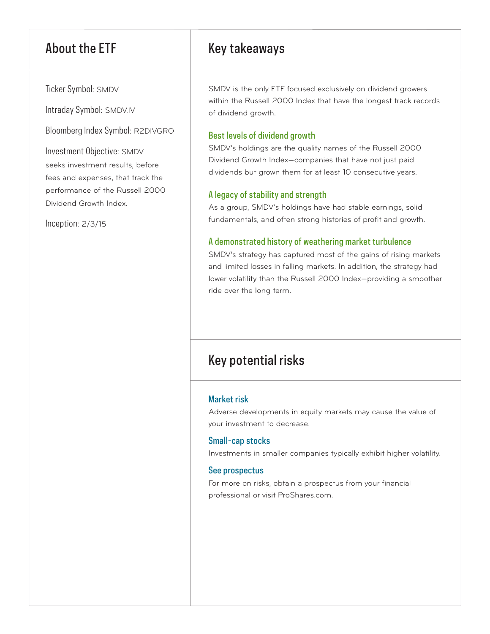## About the ETF Key takeaways

Ticker Symbol: SMDV

Intraday Symbol: SMDV.IV

Bloomberg Index Symbol: R2DIVGRO

Investment Objective: SMDV seeks investment results, before fees and expenses, that track the performance of the Russell 2000 Dividend Growth Index.

Inception: 2/3/15

SMDV is the only ETF focused exclusively on dividend growers within the Russell 2000 Index that have the longest track records of dividend growth.

#### Best levels of dividend growth

SMDV's holdings are the quality names of the Russell 2000 Dividend Growth Index—companies that have not just paid dividends but grown them for at least 10 consecutive years.

### A legacy of stability and strength

As a group, SMDV's holdings have had stable earnings, solid fundamentals, and often strong histories of profit and growth.

#### A demonstrated history of weathering market turbulence

SMDV's strategy has captured most of the gains of rising markets and limited losses in falling markets. In addition, the strategy had lower volatility than the Russell 2000 Index—providing a smoother ride over the long term.

## Key potential risks

#### Market risk

Adverse developments in equity markets may cause the value of your investment to decrease.

#### Small-cap stocks

Investments in smaller companies typically exhibit higher volatility.

#### See prospectus

For more on risks, obtain a prospectus from your financial professional or visit ProShares.com.